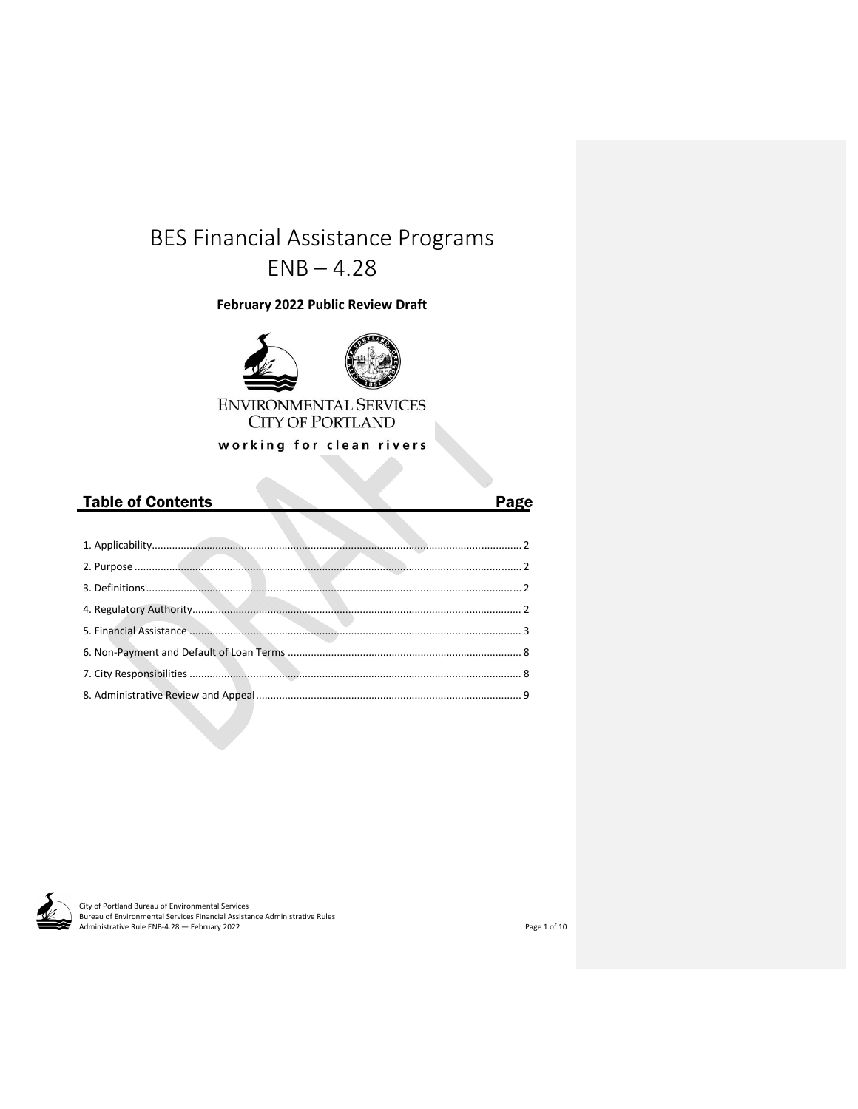# BES Financial Assistance Programs  $ENB - 4.28$

**February 2022 Public Review Draft**



working for clean rivers

dia.

| <b>Table of Contents</b> | Page |
|--------------------------|------|
|                          |      |
|                          |      |
|                          |      |
|                          |      |
|                          |      |
|                          |      |
|                          |      |
|                          |      |
|                          |      |



City of Portland Bureau of Environmental Services Bureau of Environmental Services Financial Assistance Administrative Rules<br>Administrative Rule ENB-4.28 — February 2022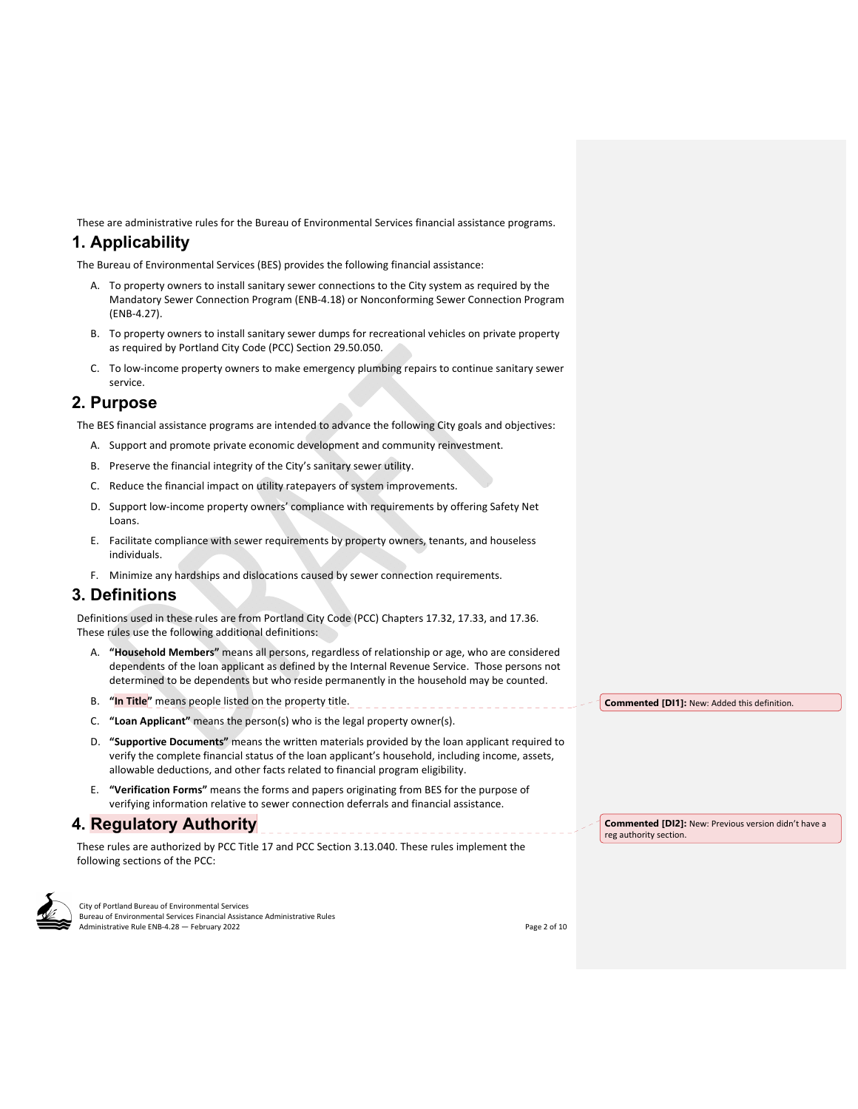These are administrative rules for the Bureau of Environmental Services financial assistance programs.

# **1. Applicability**

The Bureau of Environmental Services (BES) provides the following financial assistance:

- A. To property owners to install sanitary sewer connections to the City system as required by the Mandatory Sewer Connection Program (ENB‐4.18) or Nonconforming Sewer Connection Program (ENB‐4.27).
- B. To property owners to install sanitary sewer dumps for recreational vehicles on private property as required by Portland City Code (PCC) Section 29.50.050.
- C. To low‐income property owners to make emergency plumbing repairs to continue sanitary sewer service.

# **2. Purpose**

The BES financial assistance programs are intended to advance the following City goals and objectives:

- A. Support and promote private economic development and community reinvestment.
- B. Preserve the financial integrity of the City's sanitary sewer utility.
- C. Reduce the financial impact on utility ratepayers of system improvements.
- D. Support low-income property owners' compliance with requirements by offering Safety Net Loans.
- E. Facilitate compliance with sewer requirements by property owners, tenants, and houseless individuals.
- F. Minimize any hardships and dislocations caused by sewer connection requirements.

### **3. Definitions**

Definitions used in these rules are from Portland City Code (PCC) Chapters 17.32, 17.33, and 17.36. These rules use the following additional definitions:

- A. **"Household Members"** means all persons, regardless of relationship or age, who are considered dependents of the loan applicant as defined by the Internal Revenue Service. Those persons not determined to be dependents but who reside permanently in the household may be counted.
- B. **"In Title"** means people listed on the property title.
- C. **"Loan Applicant"** means the person(s) who is the legal property owner(s).
- D. **"Supportive Documents"** means the written materials provided by the loan applicant required to verify the complete financial status of the loan applicant's household, including income, assets, allowable deductions, and other facts related to financial program eligibility.
- E. **"Verification Forms"** means the forms and papers originating from BES for the purpose of verifying information relative to sewer connection deferrals and financial assistance.

### **4. Regulatory Authority**

These rules are authorized by PCC Title 17 and PCC Section 3.13.040. These rules implement the following sections of the PCC:



City of Portland Bureau of Environmental Services Bureau of Environmental Services Financial Assistance Administrative Rules Administrative Rule ENB-4.28 — February 2022 **and a struck of the Contract Contract Contract Contract Contract Contract Contract Contract Contract Contract Contract Contract Contract Contract Contract Contract Contract Con**  **Commented [DI1]:** New: Added this definition.

**Commented [DI2]:** New: Previous version didn't have a reg authority section.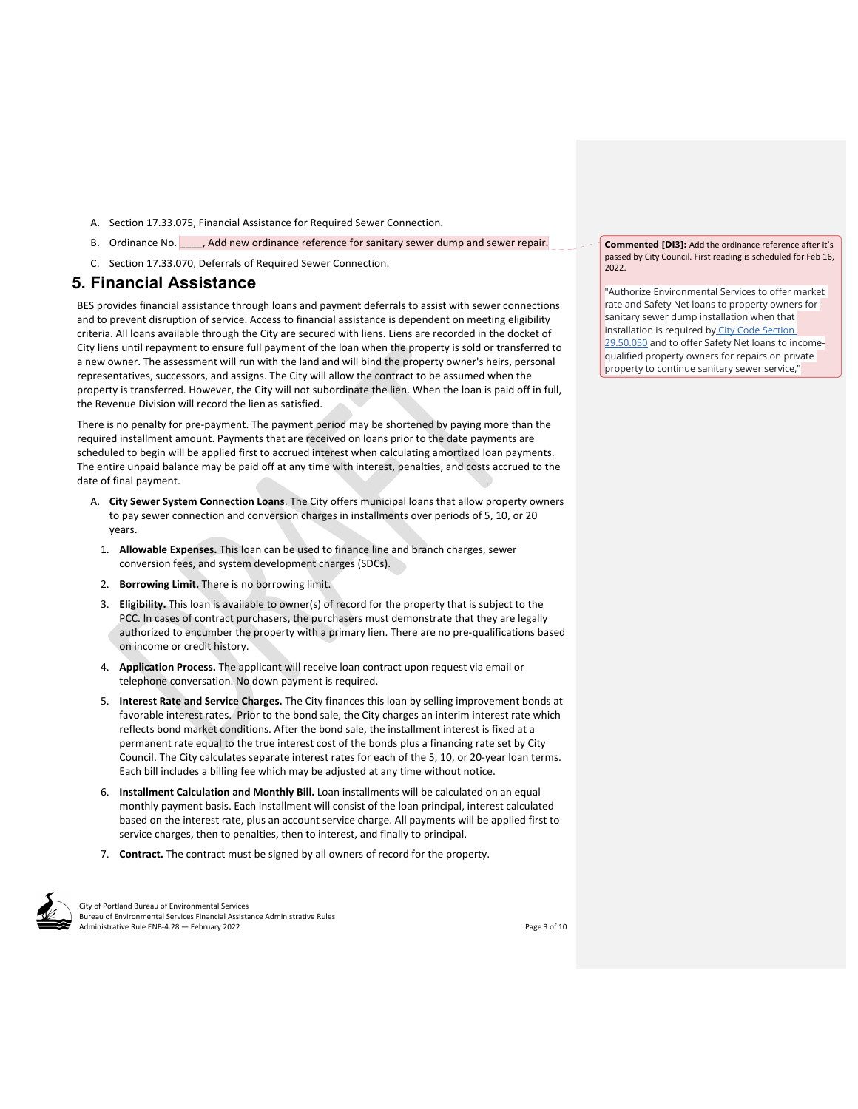- A. Section 17.33.075, Financial Assistance for Required Sewer Connection.
- B. Ordinance No. **Add new ordinance reference for sanitary sewer dump and sewer repair.**
- C. Section 17.33.070, Deferrals of Required Sewer Connection.

## **5. Financial Assistance**

BES provides financial assistance through loans and payment deferrals to assist with sewer connections and to prevent disruption of service. Access to financial assistance is dependent on meeting eligibility criteria. All loans available through the City are secured with liens. Liens are recorded in the docket of City liens until repayment to ensure full payment of the loan when the property is sold or transferred to a new owner. The assessment will run with the land and will bind the property owner's heirs, personal representatives, successors, and assigns. The City will allow the contract to be assumed when the property is transferred. However, the City will not subordinate the lien. When the loan is paid off in full, the Revenue Division will record the lien as satisfied.

There is no penalty for pre‐payment. The payment period may be shortened by paying more than the required installment amount. Payments that are received on loans prior to the date payments are scheduled to begin will be applied first to accrued interest when calculating amortized loan payments. The entire unpaid balance may be paid off at any time with interest, penalties, and costs accrued to the date of final payment.

- A. **City Sewer System Connection Loans**. The City offers municipal loans that allow property owners to pay sewer connection and conversion charges in installments over periods of 5, 10, or 20 years.
	- 1. **Allowable Expenses.** This loan can be used to finance line and branch charges, sewer conversion fees, and system development charges (SDCs).
	- 2. **Borrowing Limit.** There is no borrowing limit.
	- 3. **Eligibility.** This loan is available to owner(s) of record for the property that is subject to the PCC. In cases of contract purchasers, the purchasers must demonstrate that they are legally authorized to encumber the property with a primary lien. There are no pre-qualifications based on income or credit history.
	- 4. **Application Process.** The applicant will receive loan contract upon request via email or telephone conversation. No down payment is required.
	- 5. **Interest Rate and Service Charges.** The City finances this loan by selling improvement bonds at favorable interest rates. Prior to the bond sale, the City charges an interim interest rate which reflects bond market conditions. After the bond sale, the installment interest is fixed at a permanent rate equal to the true interest cost of the bonds plus a financing rate set by City Council. The City calculates separate interest rates for each of the 5, 10, or 20‐year loan terms. Each bill includes a billing fee which may be adjusted at any time without notice.
	- 6. **Installment Calculation and Monthly Bill.** Loan installments will be calculated on an equal monthly payment basis. Each installment will consist of the loan principal, interest calculated based on the interest rate, plus an account service charge. All payments will be applied first to service charges, then to penalties, then to interest, and finally to principal.
	- 7. **Contract.** The contract must be signed by all owners of record for the property.



City of Portland Bureau of Environmental Services Bureau of Environmental Services Financial Assistance Administrative Rules Administrative Rule ENB-4.28 — February 2022 **and a struck of the Contract Contract Contract Contract Contract Contract Contract Contract Contract Contract Contract Contract Contract Contract Contract Contract Contract Con** 

**Commented [DI3]:** Add the ordinance reference after it's passed by City Council. First reading is scheduled for Feb 16,  $2022$ 

"Authorize Environmental Services to offer market rate and Safety Net loans to property owners for sanitary sewer dump installation when that installation is required by City Code Section 29.50.050 and to offer Safety Net loans to incomequalified property owners for repairs on private property to continue sanitary sewer service,"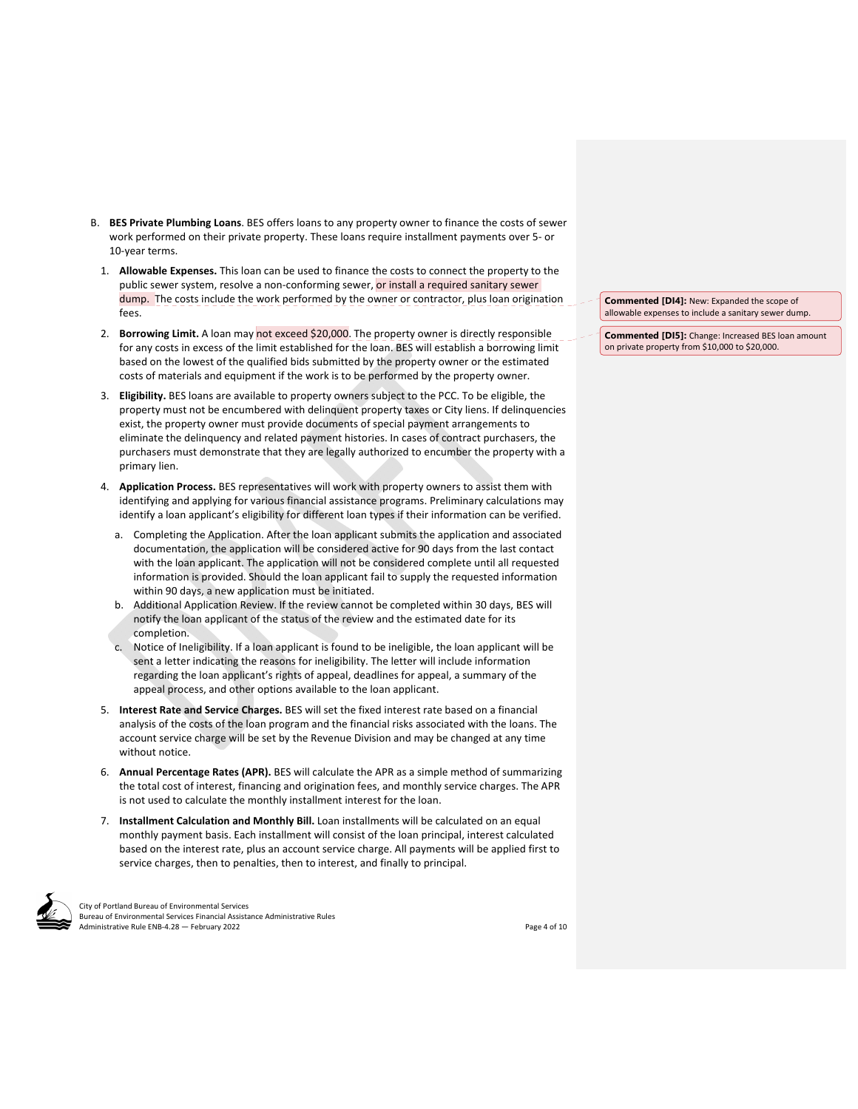- B. **BES Private Plumbing Loans**. BES offers loans to any property owner to finance the costs of sewer work performed on their private property. These loans require installment payments over 5‐ or 10‐year terms.
	- 1. **Allowable Expenses.** This loan can be used to finance the costs to connect the property to the public sewer system, resolve a non-conforming sewer, or install a required sanitary sewer dump. The costs include the work performed by the owner or contractor, plus loan origination fees.
	- 2. **Borrowing Limit.** A loan may not exceed \$20,000. The property owner is directly responsible for any costs in excess of the limit established for the loan. BES will establish a borrowing limit based on the lowest of the qualified bids submitted by the property owner or the estimated costs of materials and equipment if the work is to be performed by the property owner.
	- 3. **Eligibility.** BES loans are available to property owners subject to the PCC. To be eligible, the property must not be encumbered with delinquent property taxes or City liens. If delinquencies exist, the property owner must provide documents of special payment arrangements to eliminate the delinquency and related payment histories. In cases of contract purchasers, the purchasers must demonstrate that they are legally authorized to encumber the property with a primary lien.
	- 4. **Application Process.** BES representatives will work with property owners to assist them with identifying and applying for various financial assistance programs. Preliminary calculations may identify a loan applicant's eligibility for different loan types if their information can be verified.
		- a. Completing the Application. After the loan applicant submits the application and associated documentation, the application will be considered active for 90 days from the last contact with the loan applicant. The application will not be considered complete until all requested information is provided. Should the loan applicant fail to supply the requested information within 90 days, a new application must be initiated.
		- b. Additional Application Review. If the review cannot be completed within 30 days, BES will notify the loan applicant of the status of the review and the estimated date for its completion.
		- c. Notice of Ineligibility. If a loan applicant is found to be ineligible, the loan applicant will be sent a letter indicating the reasons for ineligibility. The letter will include information regarding the loan applicant's rights of appeal, deadlines for appeal, a summary of the appeal process, and other options available to the loan applicant.
	- 5. **Interest Rate and Service Charges.** BES will set the fixed interest rate based on a financial analysis of the costs of the loan program and the financial risks associated with the loans. The account service charge will be set by the Revenue Division and may be changed at any time without notice.
	- 6. **Annual Percentage Rates (APR).** BES will calculate the APR as a simple method of summarizing the total cost of interest, financing and origination fees, and monthly service charges. The APR is not used to calculate the monthly installment interest for the loan.
	- 7. **Installment Calculation and Monthly Bill.** Loan installments will be calculated on an equal monthly payment basis. Each installment will consist of the loan principal, interest calculated based on the interest rate, plus an account service charge. All payments will be applied first to service charges, then to penalties, then to interest, and finally to principal.



City of Portland Bureau of Environmental Services Bureau of Environmental Services Financial Assistance Administrative Rules Administrative Rule ENB-4.28 — February 2022 **and a struck of the Contract Contract Contract Contract Contract Contract Contract Contract Contract Contract Contract Contract Contract Contract Contract Contract Contract Con** 

**Commented [DI4]:** New: Expanded the scope of allowable expenses to include a sanitary sewer dump.

**Commented [DI5]:** Change: Increased BES loan amount on private property from \$10,000 to \$20,000.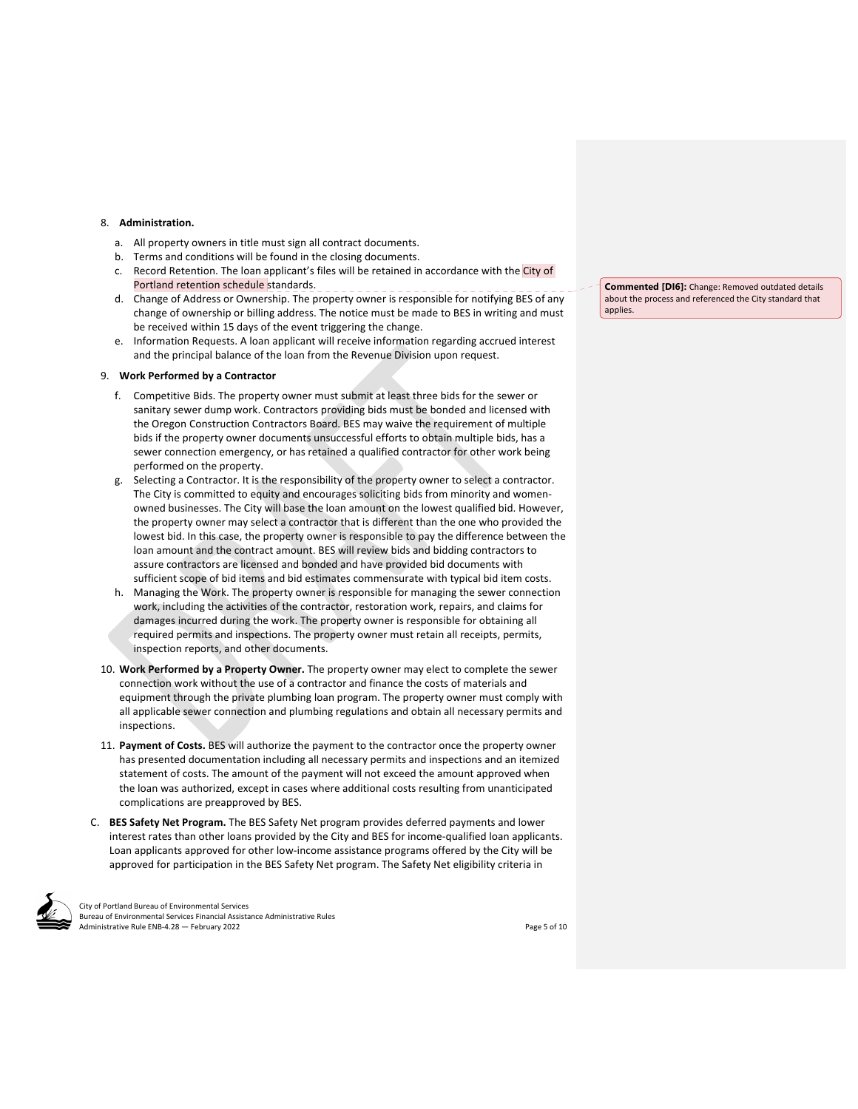#### 8. **Administration.**

- a. All property owners in title must sign all contract documents.
- b. Terms and conditions will be found in the closing documents.
- c. Record Retention. The loan applicant's files will be retained in accordance with the City of Portland retention schedule standards.
- d. Change of Address or Ownership. The property owner is responsible for notifying BES of any change of ownership or billing address. The notice must be made to BES in writing and must be received within 15 days of the event triggering the change.
- e. Information Requests. A loan applicant will receive information regarding accrued interest and the principal balance of the loan from the Revenue Division upon request.

#### 9. **Work Performed by a Contractor**

- f. Competitive Bids. The property owner must submit at least three bids for the sewer or sanitary sewer dump work. Contractors providing bids must be bonded and licensed with the Oregon Construction Contractors Board. BES may waive the requirement of multiple bids if the property owner documents unsuccessful efforts to obtain multiple bids, has a sewer connection emergency, or has retained a qualified contractor for other work being performed on the property.
- g. Selecting a Contractor. It is the responsibility of the property owner to select a contractor. The City is committed to equity and encourages soliciting bids from minority and women‐ owned businesses. The City will base the loan amount on the lowest qualified bid. However, the property owner may select a contractor that is different than the one who provided the lowest bid. In this case, the property owner is responsible to pay the difference between the loan amount and the contract amount. BES will review bids and bidding contractors to assure contractors are licensed and bonded and have provided bid documents with sufficient scope of bid items and bid estimates commensurate with typical bid item costs.
- h. Managing the Work. The property owner is responsible for managing the sewer connection work, including the activities of the contractor, restoration work, repairs, and claims for damages incurred during the work. The property owner is responsible for obtaining all required permits and inspections. The property owner must retain all receipts, permits, inspection reports, and other documents.
- 10. **Work Performed by a Property Owner.** The property owner may elect to complete the sewer connection work without the use of a contractor and finance the costs of materials and equipment through the private plumbing loan program. The property owner must comply with all applicable sewer connection and plumbing regulations and obtain all necessary permits and inspections.
- 11. **Payment of Costs.** BES will authorize the payment to the contractor once the property owner has presented documentation including all necessary permits and inspections and an itemized statement of costs. The amount of the payment will not exceed the amount approved when the loan was authorized, except in cases where additional costs resulting from unanticipated complications are preapproved by BES.
- C. **BES Safety Net Program.** The BES Safety Net program provides deferred payments and lower interest rates than other loans provided by the City and BES for income-qualified loan applicants. Loan applicants approved for other low‐income assistance programs offered by the City will be approved for participation in the BES Safety Net program. The Safety Net eligibility criteria in

City of Portland Bureau of Environmental Services Bureau of Environmental Services Financial Assistance Administrative Rules Administrative Rule ENB-4.28 — February 2022 **Solution** Contact Contact Contact Contact Contact Contact Contact Contact Contact Contact Contact Contact Contact Contact Contact Contact Contact Contact Contact Contact Conta

**Commented [DI6]:** Change: Removed outdated details about the process and referenced the City standard that applies.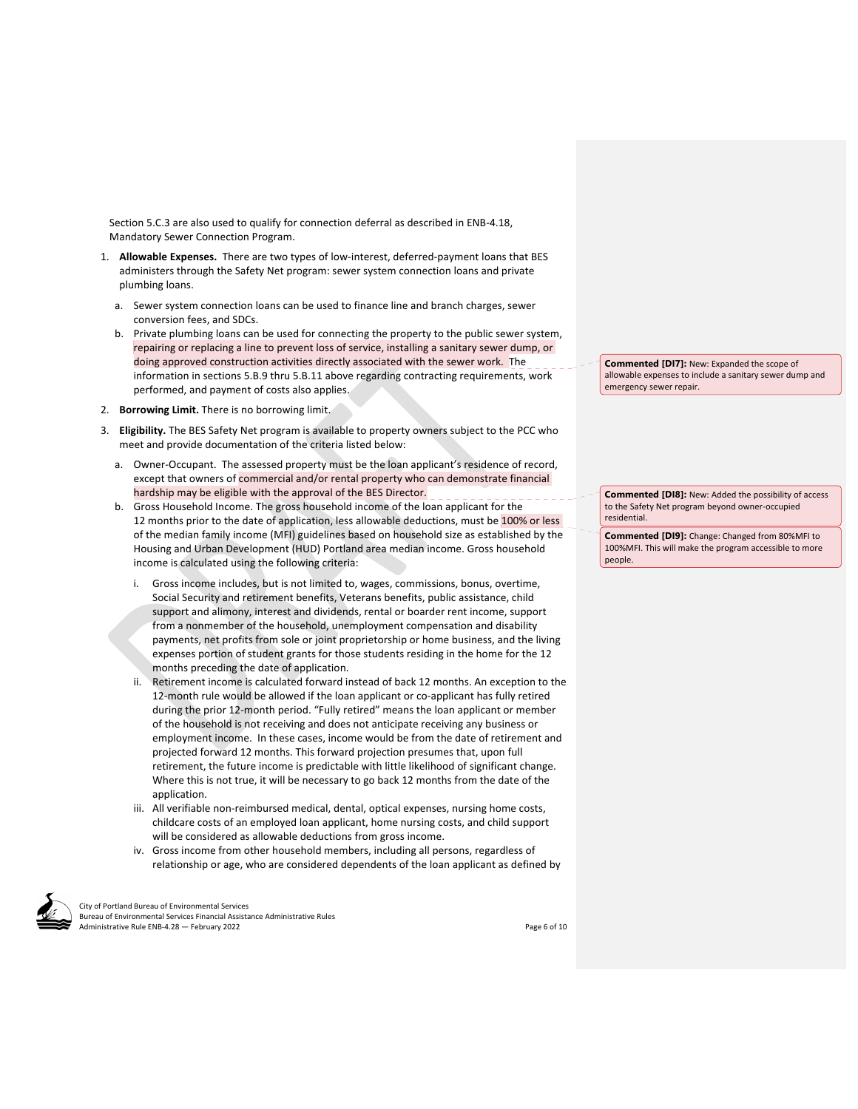Section 5.C.3 are also used to qualify for connection deferral as described in ENB‐4.18, Mandatory Sewer Connection Program.

- 1. **Allowable Expenses.** There are two types of low-interest, deferred-payment loans that BES administers through the Safety Net program: sewer system connection loans and private plumbing loans.
	- a. Sewer system connection loans can be used to finance line and branch charges, sewer conversion fees, and SDCs.
	- b. Private plumbing loans can be used for connecting the property to the public sewer system, repairing or replacing a line to prevent loss of service, installing a sanitary sewer dump, or doing approved construction activities directly associated with the sewer work. The information in sections 5.B.9 thru 5.B.11 above regarding contracting requirements, work performed, and payment of costs also applies.
- 2. **Borrowing Limit.** There is no borrowing limit.
- 3. **Eligibility.** The BES Safety Net program is available to property owners subject to the PCC who meet and provide documentation of the criteria listed below:
	- a. Owner‐Occupant. The assessed property must be the loan applicant's residence of record, except that owners of commercial and/or rental property who can demonstrate financial hardship may be eligible with the approval of the BES Director.
	- b. Gross Household Income. The gross household income of the loan applicant for the 12 months prior to the date of application, less allowable deductions, must be 100% or less of the median family income (MFI) guidelines based on household size as established by the Housing and Urban Development (HUD) Portland area median income. Gross household income is calculated using the following criteria:
		- Gross income includes, but is not limited to, wages, commissions, bonus, overtime, Social Security and retirement benefits, Veterans benefits, public assistance, child support and alimony, interest and dividends, rental or boarder rent income, support from a nonmember of the household, unemployment compensation and disability payments, net profits from sole or joint proprietorship or home business, and the living expenses portion of student grants for those students residing in the home for the 12 months preceding the date of application.
		- ii. Retirement income is calculated forward instead of back 12 months. An exception to the 12-month rule would be allowed if the loan applicant or co-applicant has fully retired during the prior 12‐month period. "Fully retired" means the loan applicant or member of the household is not receiving and does not anticipate receiving any business or employment income. In these cases, income would be from the date of retirement and projected forward 12 months. This forward projection presumes that, upon full retirement, the future income is predictable with little likelihood of significant change. Where this is not true, it will be necessary to go back 12 months from the date of the application.
		- iii. All verifiable non-reimbursed medical, dental, optical expenses, nursing home costs, childcare costs of an employed loan applicant, home nursing costs, and child support will be considered as allowable deductions from gross income.
		- iv. Gross income from other household members, including all persons, regardless of relationship or age, who are considered dependents of the loan applicant as defined by

City of Portland Bureau of Environmental Services Bureau of Environmental Services Financial Assistance Administrative Rules Administrative Rule ENB-4.28 — February 2022 *Page 6 of 10* 

**Commented [DI7]:** New: Expanded the scope of allowable expenses to include a sanitary sewer dump and emergency sewer repair.

**Commented [DI8]:** New: Added the possibility of access to the Safety Net program beyond owner‐occupied residential.

**Commented [DI9]:** Change: Changed from 80%MFI to 100%MFI. This will make the program accessible to more people.

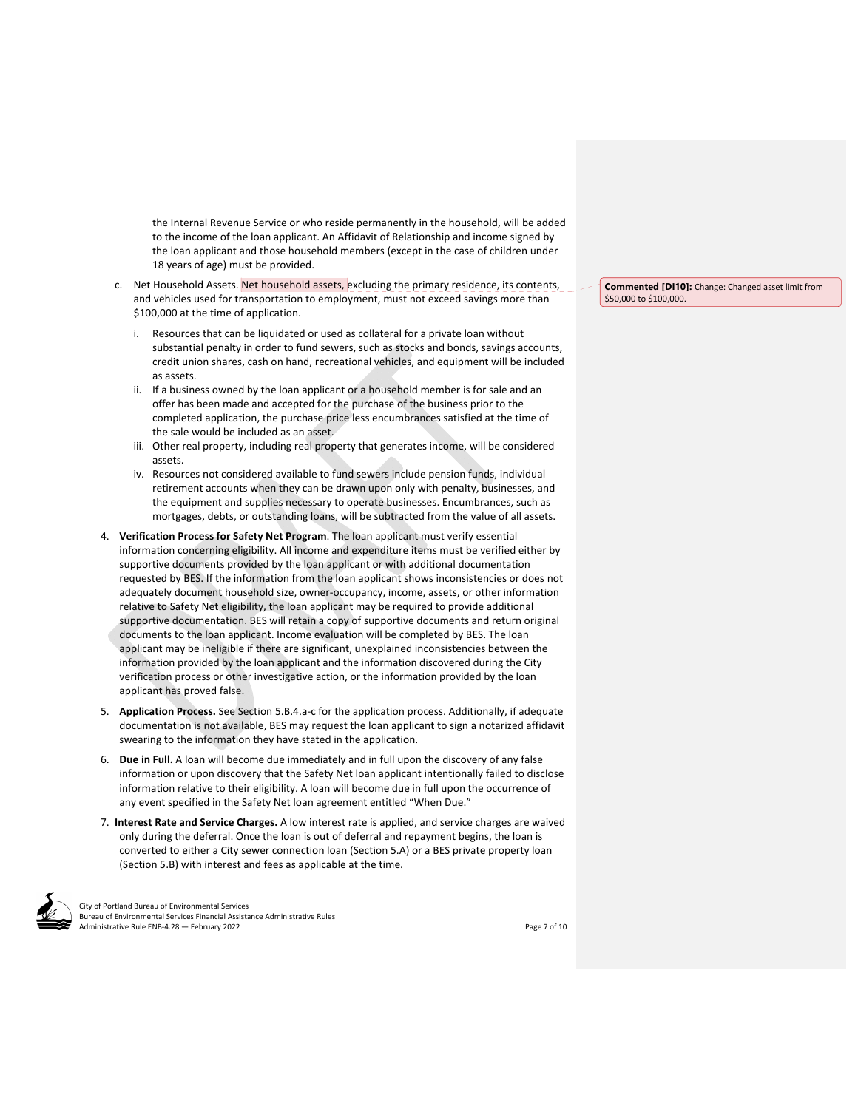the Internal Revenue Service or who reside permanently in the household, will be added to the income of the loan applicant. An Affidavit of Relationship and income signed by the loan applicant and those household members (except in the case of children under 18 years of age) must be provided.

- c. Net Household Assets. Net household assets, excluding the primary residence, its contents, and vehicles used for transportation to employment, must not exceed savings more than \$100,000 at the time of application.
	- i. Resources that can be liquidated or used as collateral for a private loan without substantial penalty in order to fund sewers, such as stocks and bonds, savings accounts, credit union shares, cash on hand, recreational vehicles, and equipment will be included as assets.
	- ii. If a business owned by the loan applicant or a household member is for sale and an offer has been made and accepted for the purchase of the business prior to the completed application, the purchase price less encumbrances satisfied at the time of the sale would be included as an asset.
	- iii. Other real property, including real property that generates income, will be considered assets.
	- iv. Resources not considered available to fund sewers include pension funds, individual retirement accounts when they can be drawn upon only with penalty, businesses, and the equipment and supplies necessary to operate businesses. Encumbrances, such as mortgages, debts, or outstanding loans, will be subtracted from the value of all assets.
- 4. **Verification Process for Safety Net Program**. The loan applicant must verify essential information concerning eligibility. All income and expenditure items must be verified either by supportive documents provided by the loan applicant or with additional documentation requested by BES. If the information from the loan applicant shows inconsistencies or does not adequately document household size, owner‐occupancy, income, assets, or other information relative to Safety Net eligibility, the loan applicant may be required to provide additional supportive documentation. BES will retain a copy of supportive documents and return original documents to the loan applicant. Income evaluation will be completed by BES. The loan applicant may be ineligible if there are significant, unexplained inconsistencies between the information provided by the loan applicant and the information discovered during the City verification process or other investigative action, or the information provided by the loan applicant has proved false.
- 5. **Application Process.** See Section 5.B.4.a‐c for the application process. Additionally, if adequate documentation is not available, BES may request the loan applicant to sign a notarized affidavit swearing to the information they have stated in the application.
- 6. **Due in Full.** A loan will become due immediately and in full upon the discovery of any false information or upon discovery that the Safety Net loan applicant intentionally failed to disclose information relative to their eligibility. A loan will become due in full upon the occurrence of any event specified in the Safety Net loan agreement entitled "When Due."
- 7. **Interest Rate and Service Charges.** A low interest rate is applied, and service charges are waived only during the deferral. Once the loan is out of deferral and repayment begins, the loan is converted to either a City sewer connection loan (Section 5.A) or a BES private property loan (Section 5.B) with interest and fees as applicable at the time.

City of Portland Bureau of Environmental Services Bureau of Environmental Services Financial Assistance Administrative Rules Administrative Rule ENB-4.28 — February 2022 **Solution Contains and Contains and Contains and Contains and Contains and Contains and Contains and Contains and Page 7 of 10** 

**Commented [DI10]:** Change: Changed asset limit from \$50,000 to \$100,000.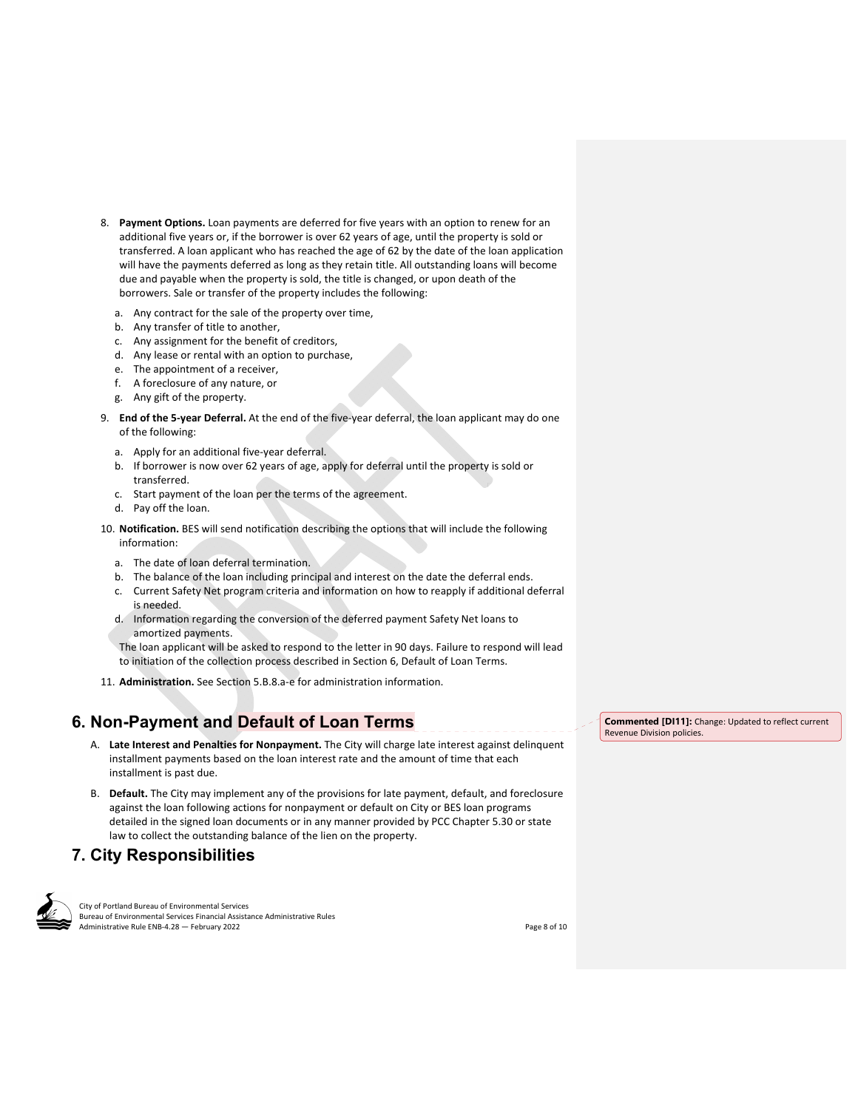- 8. **Payment Options.** Loan payments are deferred for five years with an option to renew for an additional five years or, if the borrower is over 62 years of age, until the property is sold or transferred. A loan applicant who has reached the age of 62 by the date of the loan application will have the payments deferred as long as they retain title. All outstanding loans will become due and payable when the property is sold, the title is changed, or upon death of the borrowers. Sale or transfer of the property includes the following:
	- a. Any contract for the sale of the property over time,
	- b. Any transfer of title to another,
	- c. Any assignment for the benefit of creditors,
	- d. Any lease or rental with an option to purchase,
	- e. The appointment of a receiver,
	- f. A foreclosure of any nature, or
	- g. Any gift of the property.
- 9. **End of the 5‐year Deferral.** At the end of the five‐year deferral, the loan applicant may do one of the following:
	- a. Apply for an additional five‐year deferral.
	- b. If borrower is now over 62 years of age, apply for deferral until the property is sold or transferred.
	- c. Start payment of the loan per the terms of the agreement.
	- d. Pay off the loan.
- 10. **Notification.** BES will send notification describing the options that will include the following information:
	- a. The date of loan deferral termination.
	- b. The balance of the loan including principal and interest on the date the deferral ends.
	- c. Current Safety Net program criteria and information on how to reapply if additional deferral is needed.
	- d. Information regarding the conversion of the deferred payment Safety Net loans to amortized payments.

The loan applicant will be asked to respond to the letter in 90 days. Failure to respond will lead to initiation of the collection process described in Section 6, Default of Loan Terms.

11. **Administration.** See Section 5.B.8.a‐e for administration information.

# **6. Non-Payment and Default of Loan Terms**

- A. **Late Interest and Penalties for Nonpayment.** The City will charge late interest against delinquent installment payments based on the loan interest rate and the amount of time that each installment is past due.
- B. **Default.** The City may implement any of the provisions for late payment, default, and foreclosure against the loan following actions for nonpayment or default on City or BES loan programs detailed in the signed loan documents or in any manner provided by PCC Chapter 5.30 or state law to collect the outstanding balance of the lien on the property.

# **7. City Responsibilities**



City of Portland Bureau of Environmental Services Bureau of Environmental Services Financial Assistance Administrative Rules Administrative Rule ENB-4.28 — February 2022 **Solution Administrative Rule ENB-4.28** — February 2022

Revenue Division policies.

**Commented [DI11]:** Change: Updated to reflect current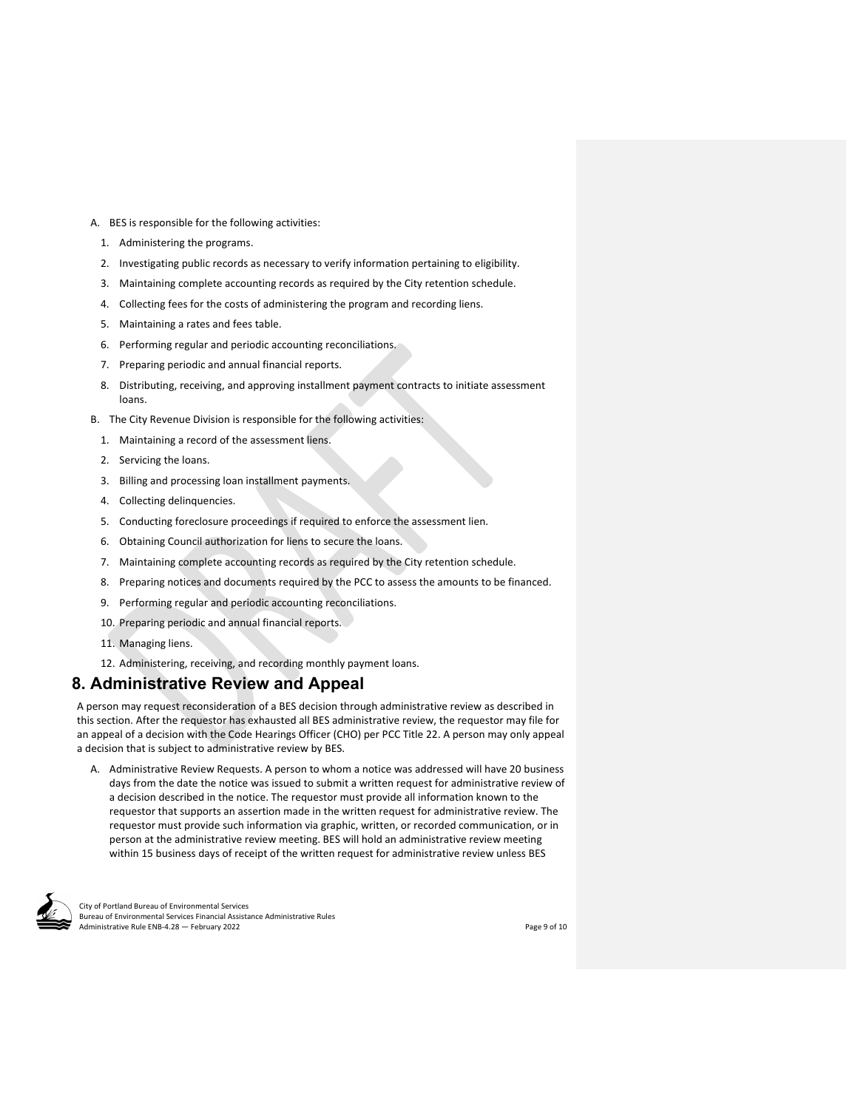- A. BES is responsible for the following activities:
	- 1. Administering the programs.
	- 2. Investigating public records as necessary to verify information pertaining to eligibility.
	- 3. Maintaining complete accounting records as required by the City retention schedule.
	- 4. Collecting fees for the costs of administering the program and recording liens.
	- 5. Maintaining a rates and fees table.
	- 6. Performing regular and periodic accounting reconciliations.
	- 7. Preparing periodic and annual financial reports.
	- 8. Distributing, receiving, and approving installment payment contracts to initiate assessment loans.
- B. The City Revenue Division is responsible for the following activities:
	- 1. Maintaining a record of the assessment liens.
	- 2. Servicing the loans.
	- 3. Billing and processing loan installment payments.
	- 4. Collecting delinquencies.
	- 5. Conducting foreclosure proceedings if required to enforce the assessment lien.
	- 6. Obtaining Council authorization for liens to secure the loans.
	- 7. Maintaining complete accounting records as required by the City retention schedule.
	- 8. Preparing notices and documents required by the PCC to assess the amounts to be financed.
	- 9. Performing regular and periodic accounting reconciliations.
	- 10. Preparing periodic and annual financial reports.
	- 11. Managing liens.
	- 12. Administering, receiving, and recording monthly payment loans.

### **8. Administrative Review and Appeal**

A person may request reconsideration of a BES decision through administrative review as described in this section. After the requestor has exhausted all BES administrative review, the requestor may file for an appeal of a decision with the Code Hearings Officer (CHO) per PCC Title 22. A person may only appeal a decision that is subject to administrative review by BES.

A. Administrative Review Requests. A person to whom a notice was addressed will have 20 business days from the date the notice was issued to submit a written request for administrative review of a decision described in the notice. The requestor must provide all information known to the requestor that supports an assertion made in the written request for administrative review. The requestor must provide such information via graphic, written, or recorded communication, or in person at the administrative review meeting. BES will hold an administrative review meeting within 15 business days of receipt of the written request for administrative review unless BES



City of Portland Bureau of Environmental Services Bureau of Environmental Services Financial Assistance Administrative Rules Administrative Rule ENB-4.28 — February 2022 **Solution Contains and Contains and Contains and Contains and Contains and Contains and Contains and Contains and Page 9 of 10**